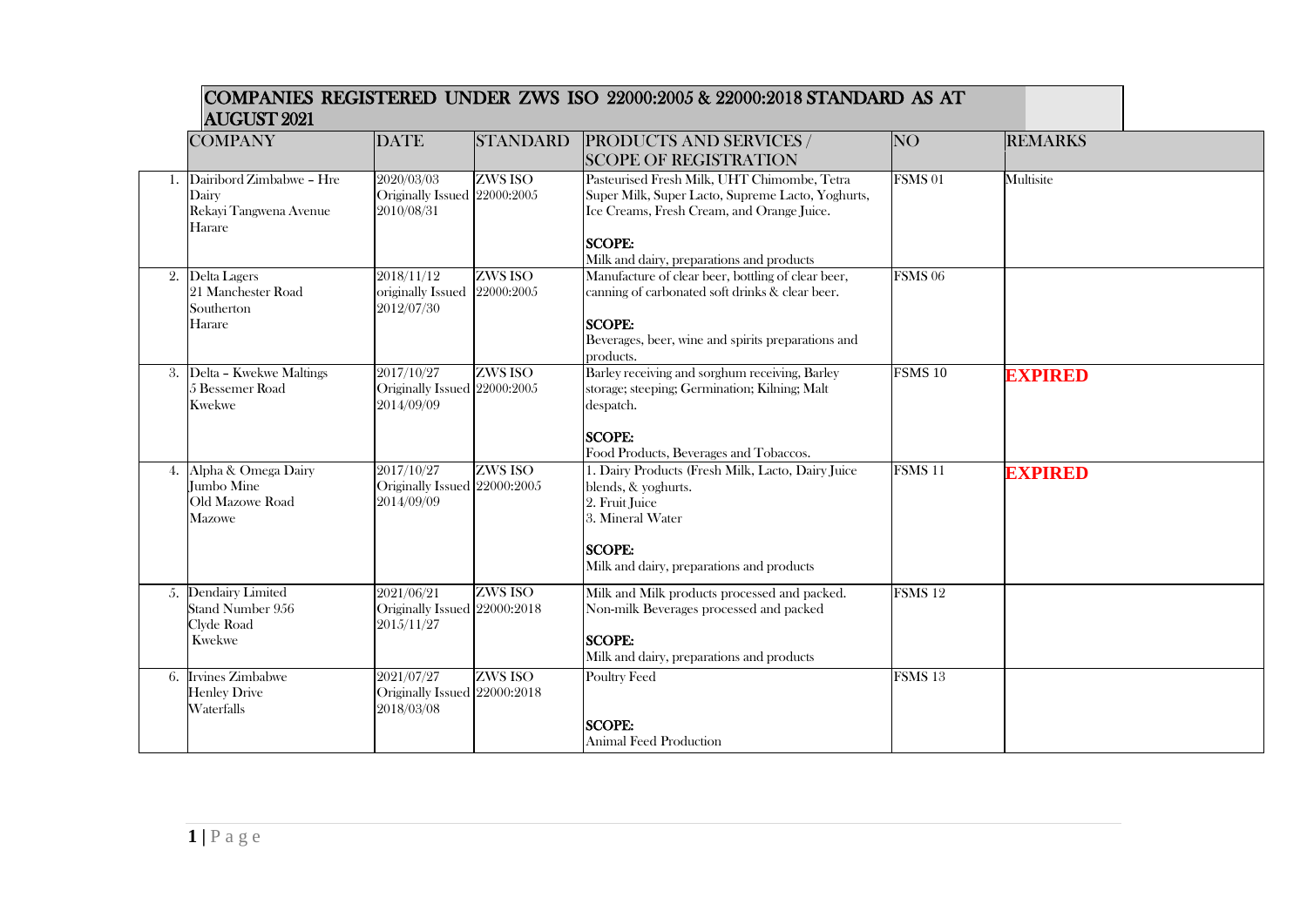## COMPANIES REGISTERED UNDER ZWS ISO 22000:2005 & 22000:2018 STANDARD AS AT AUGUST 2021

| <b>COMPANY</b>                                                           | <b>DATE</b>                                              | <b>STANDARD</b> | <b>PRODUCTS AND SERVICES /</b>                                                                                                                                                                               | NO <sub>1</sub>    | <b>REMARKS</b> |
|--------------------------------------------------------------------------|----------------------------------------------------------|-----------------|--------------------------------------------------------------------------------------------------------------------------------------------------------------------------------------------------------------|--------------------|----------------|
|                                                                          |                                                          |                 | <b>SCOPE OF REGISTRATION</b>                                                                                                                                                                                 |                    |                |
| 1. Dairibord Zimbabwe - Hre<br>Dairy<br>Rekayi Tangwena Avenue<br>Harare | 2020/03/03<br>Originally Issued 22000:2005<br>2010/08/31 | ZWS ISO         | Pasteurised Fresh Milk, UHT Chimombe, Tetra<br>Super Milk, Super Lacto, Supreme Lacto, Yoghurts,<br>Ice Creams, Fresh Cream, and Orange Juice.<br><b>SCOPE:</b><br>Milk and dairy, preparations and products | FSMS <sub>01</sub> | Multisite      |
| 2. Delta Lagers<br>21 Manchester Road<br>Southerton<br>Harare            | 2018/11/12<br>originally Issued 22000:2005<br>2012/07/30 | ZWS ISO         | Manufacture of clear beer, bottling of clear beer,<br>canning of carbonated soft drinks & clear beer.<br><b>SCOPE:</b><br>Beverages, beer, wine and spirits preparations and<br>products.                    | FSMS <sub>06</sub> |                |
| 3. Delta - Kwekwe Maltings<br>5 Bessemer Road<br><b>Kwekwe</b>           | 2017/10/27<br>Originally Issued 22000:2005<br>2014/09/09 | ZWS ISO         | Barley receiving and sorghum receiving, Barley<br>storage; steeping; Germination; Kilning; Malt<br>despatch.<br><b>SCOPE:</b><br>Food Products, Beverages and Tobaccos.                                      | FSMS <sub>10</sub> | <b>EXPIRED</b> |
| 4. Alpha & Omega Dairy<br>Jumbo Mine<br>Old Mazowe Road<br><b>Mazowe</b> | 2017/10/27<br>Originally Issued 22000:2005<br>2014/09/09 | ZWS ISO         | 1. Dairy Products (Fresh Milk, Lacto, Dairy Juice<br>blends, & yoghurts.<br>2. Fruit Juice<br>3. Mineral Water<br><b>SCOPE:</b><br>Milk and dairy, preparations and products                                 | FSMS <sub>11</sub> | <b>EXPIRED</b> |
| 5. Dendairy Limited<br>Stand Number 956<br>Clyde Road<br><b>Kwekwe</b>   | 2021/06/21<br>Originally Issued 22000:2018<br>2015/11/27 | ZWS ISO         | Milk and Milk products processed and packed.<br>Non-milk Beverages processed and packed<br><b>SCOPE:</b><br>Milk and dairy, preparations and products                                                        | FSMS <sub>12</sub> |                |
| 6. Irvines Zimbabwe<br><b>Henley Drive</b><br>Waterfalls                 | 2021/07/27<br>Originally Issued 22000:2018<br>2018/03/08 | ZWS ISO         | <b>Poultry Feed</b><br><b>SCOPE:</b><br><b>Animal Feed Production</b>                                                                                                                                        | FSMS <sub>13</sub> |                |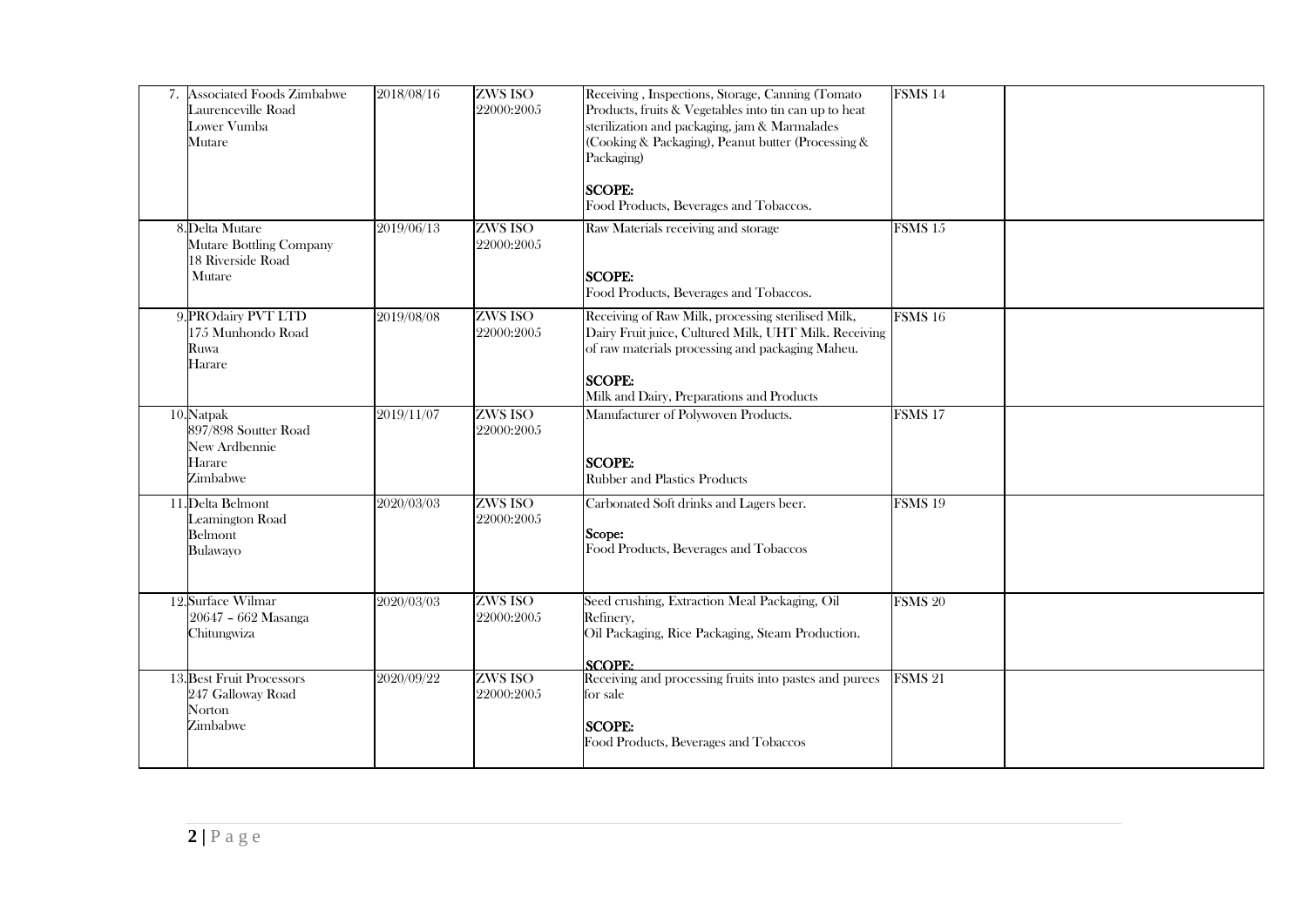| 7. Associated Foods Zimbabwe<br>Laurenceville Road<br>Lower Vumba<br>Mutare      | 2018/08/16 | ZWS ISO<br>22000:2005        | Receiving, Inspections, Storage, Canning (Tomato<br>Products, fruits & Vegetables into tin can up to heat<br>sterilization and packaging, jam & Marmalades<br>(Cooking & Packaging), Peanut butter (Processing &<br>Packaging)<br><b>SCOPE:</b><br>Food Products, Beverages and Tobaccos. | FSMS <sub>14</sub> |  |
|----------------------------------------------------------------------------------|------------|------------------------------|-------------------------------------------------------------------------------------------------------------------------------------------------------------------------------------------------------------------------------------------------------------------------------------------|--------------------|--|
| 8. Delta Mutare<br><b>Mutare Bottling Company</b><br>18 Riverside Road<br>Mutare | 2019/06/13 | <b>ZWS ISO</b><br>22000:2005 | Raw Materials receiving and storage<br><b>SCOPE:</b><br>Food Products, Beverages and Tobaccos.                                                                                                                                                                                            | FSMS <sub>15</sub> |  |
| 9. PROdairy PVT LTD<br>175 Munhondo Road<br>Ruwa<br>Harare                       | 2019/08/08 | ZWS ISO<br>22000:2005        | Receiving of Raw Milk, processing sterilised Milk,<br>Dairy Fruit juice, Cultured Milk, UHT Milk. Receiving<br>of raw materials processing and packaging Maheu.<br><b>SCOPE:</b><br>Milk and Dairy, Preparations and Products                                                             | FSMS <sub>16</sub> |  |
| 10. Natpak<br>897/898 Soutter Road<br>New Ardbennie<br>Harare<br>Zimbabwe        | 2019/11/07 | ZWS ISO<br>22000:2005        | Manufacturer of Polywoven Products.<br><b>SCOPE:</b><br><b>Rubber and Plastics Products</b>                                                                                                                                                                                               | FSMS <sub>17</sub> |  |
| 11. Delta Belmont<br>Leamington Road<br>Belmont<br>Bulawayo                      | 2020/03/03 | <b>ZWS ISO</b><br>22000:2005 | Carbonated Soft drinks and Lagers beer.<br>Scope:<br>Food Products, Beverages and Tobaccos                                                                                                                                                                                                | FSMS <sub>19</sub> |  |
| 12. Surface Wilmar<br>20647 - 662 Masanga<br>Chitungwiza                         | 2020/03/03 | ZWS ISO<br>22000:2005        | Seed crushing, Extraction Meal Packaging, Oil<br>Refinery,<br>Oil Packaging, Rice Packaging, Steam Production.<br>SCOPF <sub>2</sub>                                                                                                                                                      | FSMS <sub>20</sub> |  |
| 13. Best Fruit Processors<br>247 Galloway Road<br>Norton<br>Zimbabwe             | 2020/09/22 | ZWS ISO<br>22000:2005        | Receiving and processing fruits into pastes and purees<br>for sale<br><b>SCOPE:</b><br>Food Products, Beverages and Tobaccos                                                                                                                                                              | FSMS 21            |  |